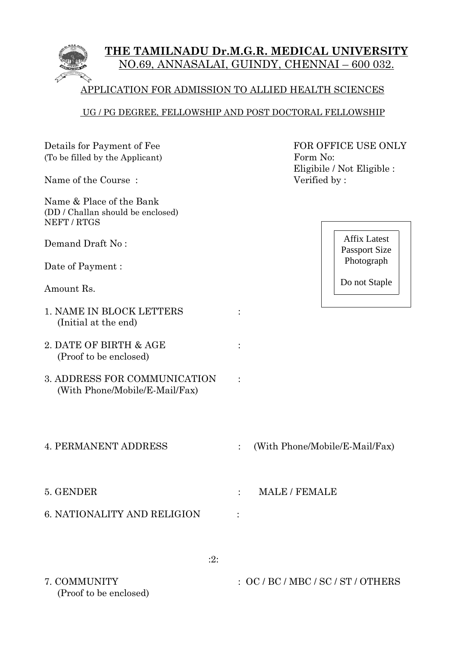

### UG / PG DEGREE, FELLOWSHIP AND POST DOCTORAL FELLOWSHIP

| Details for Payment of Fee<br>(To be filled by the Applicant)<br>Name of the Course: | FOR OFFICE USE ONLY<br>Form No:<br>Eligibile / Not Eligible :<br>Verified by: |  |  |  |
|--------------------------------------------------------------------------------------|-------------------------------------------------------------------------------|--|--|--|
| Name & Place of the Bank<br>(DD / Challan should be enclosed)<br>NEFT / RTGS         |                                                                               |  |  |  |
| Demand Draft No:                                                                     | <b>Affix Latest</b><br><b>Passport Size</b>                                   |  |  |  |
| Date of Payment :                                                                    | Photograph                                                                    |  |  |  |
| Amount Rs.                                                                           | Do not Staple                                                                 |  |  |  |
| 1. NAME IN BLOCK LETTERS<br>(Initial at the end)                                     |                                                                               |  |  |  |
| 2. DATE OF BIRTH & AGE<br>(Proof to be enclosed)                                     |                                                                               |  |  |  |
| 3. ADDRESS FOR COMMUNICATION<br>(With Phone/Mobile/E-Mail/Fax)                       |                                                                               |  |  |  |
| <b>4. PERMANENT ADDRESS</b>                                                          | (With Phone/Mobile/E-Mail/Fax)                                                |  |  |  |
| 5. GENDER                                                                            | <b>MALE / FEMALE</b>                                                          |  |  |  |
| <b>6. NATIONALITY AND RELIGION</b>                                                   |                                                                               |  |  |  |
| :2:                                                                                  |                                                                               |  |  |  |
| 7. COMMUNITY<br>(Proof to be enclosed)                                               | :OC/BC/MBC/SC/ST/OTHERS                                                       |  |  |  |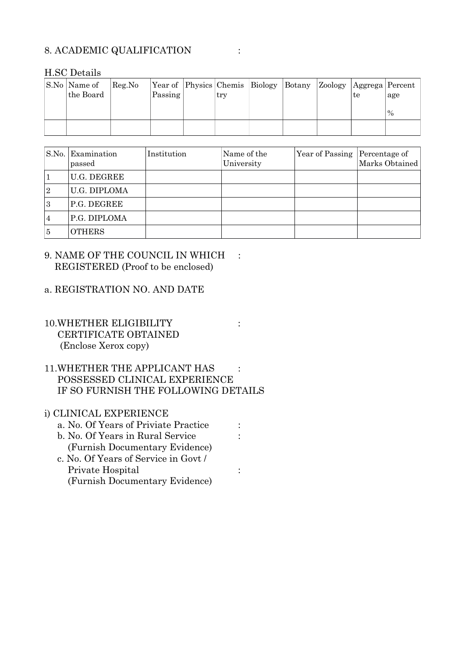### 8. ACADEMIC QUALIFICATION :

| $11.00$ Details           |        |         |  |     |                                       |  |                                     |               |
|---------------------------|--------|---------|--|-----|---------------------------------------|--|-------------------------------------|---------------|
| S.No Name of<br>the Board | Reg.No | Passing |  | try | Year of Physics Chemis Biology Botany |  | Zoology   Aggrega   Percent  <br>te | age           |
|                           |        |         |  |     |                                       |  |                                     | $\frac{0}{0}$ |
|                           |        |         |  |     |                                       |  |                                     |               |

#### $H$ .SC Dotails

| $\vert$ S.No. | Examination<br>passed | Institution | Name of the<br>University | Year of Passing | Percentage of<br>Marks Obtained |
|---------------|-----------------------|-------------|---------------------------|-----------------|---------------------------------|
|               | <b>U.G. DEGREE</b>    |             |                           |                 |                                 |
| 2             | U.G. DIPLOMA          |             |                           |                 |                                 |
| 3             | P.G. DEGREE           |             |                           |                 |                                 |
| 4             | P.G. DIPLOMA          |             |                           |                 |                                 |
| 5             | <b>OTHERS</b>         |             |                           |                 |                                 |

#### 9. NAME OF THE COUNCIL IN WHICH : REGISTERED (Proof to be enclosed)

#### a. REGISTRATION NO. AND DATE

### 10.WHETHER ELIGIBILITY : CERTIFICATE OBTAINED (Enclose Xerox copy)

### 11. WHETHER THE APPLICANT HAS : POSSESSED CLINICAL EXPERIENCE IF SO FURNISH THE FOLLOWING DETAILS

### i) CLINICAL EXPERIENCE

- a. No. Of Years of Priviate Practice :
- b. No. Of Years in Rural Service :
- (Furnish Documentary Evidence) c. No. Of Years of Service in Govt / Private Hospital :  $\qquad \qquad$  : (Furnish Documentary Evidence)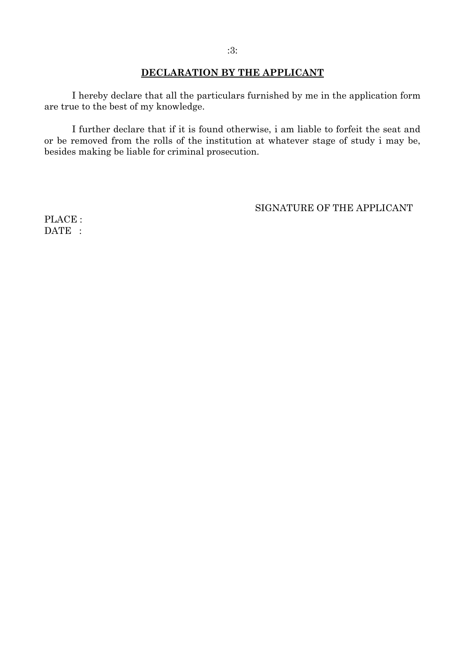#### **DECLARATION BY THE APPLICANT**

I hereby declare that all the particulars furnished by me in the application form are true to the best of my knowledge.

I further declare that if it is found otherwise, i am liable to forfeit the seat and or be removed from the rolls of the institution at whatever stage of study i may be, besides making be liable for criminal prosecution.

SIGNATURE OF THE APPLICANT

PLACE : DATE :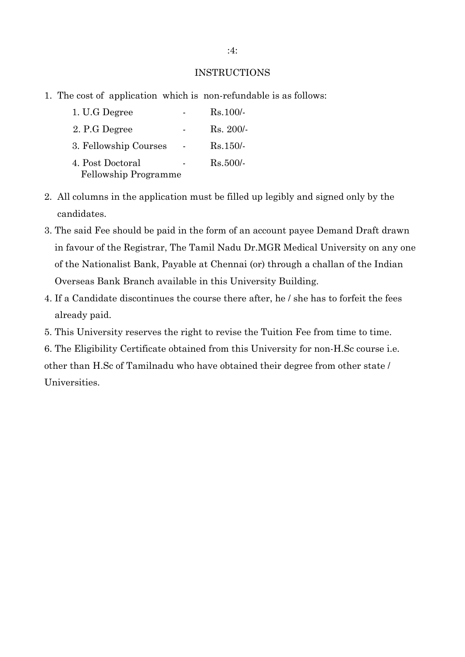#### INSTRUCTIONS

1. The cost of application which is non-refundable is as follows:

| 1. U.G Degree         | $Rs.100/-$  |
|-----------------------|-------------|
| 2. P.G Degree         | $Rs. 200/-$ |
| 3. Fellowship Courses | $Rs.150/-$  |
| 4. Post Doctoral      | $Rs.500/-$  |
| Fellowship Programme  |             |

- 2. All columns in the application must be filled up legibly and signed only by the candidates.
- 3. The said Fee should be paid in the form of an account payee Demand Draft drawn in favour of the Registrar, The Tamil Nadu Dr.MGR Medical University on any one of the Nationalist Bank, Payable at Chennai (or) through a challan of the Indian Overseas Bank Branch available in this University Building.
- 4. If a Candidate discontinues the course there after, he / she has to forfeit the fees already paid.
- 5. This University reserves the right to revise the Tuition Fee from time to time.

6. The Eligibility Certificate obtained from this University for non-H.Sc course i.e. other than H.Sc of Tamilnadu who have obtained their degree from other state / Universities.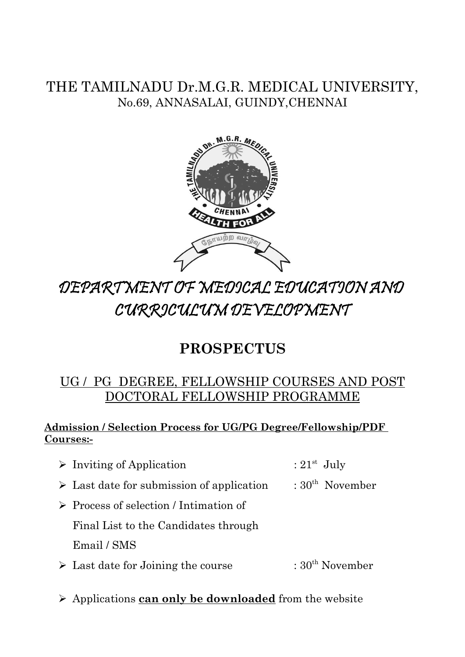### THE TAMILNADU Dr.M.G.R. MEDICAL UNIVERSITY, No.69, ANNASALAI, GUINDY,CHENNAI



# DEPARTMENT OF MEDICAL EDUCATION AND CURRICULUM DEVELOPMENT

## **PROSPECTUS**

### UG / PG DEGREE, FELLOWSHIP COURSES AND POST DOCTORAL FELLOWSHIP PROGRAMME

### **Admission / Selection Process for UG/PG Degree/Fellowship/PDF Courses:-**

- $\triangleright$  Inviting of Application : 21<sup>st</sup> July
- $\triangleright$  Last date for submission of application : 30<sup>th</sup> November
- ➢ Process of selection / Intimation of Final List to the Candidates through

Email / SMS

- $\triangleright$  Last date for Joining the course : 30<sup>th</sup> November
- ➢ Applications **can only be downloaded** from the website
- 
-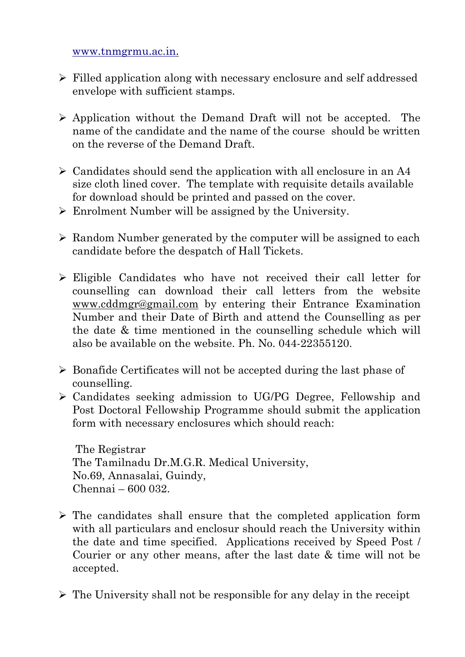www.tnmgrmu.ac.in.

- ➢ Filled application along with necessary enclosure and self addressed envelope with sufficient stamps.
- ➢ Application without the Demand Draft will not be accepted. The name of the candidate and the name of the course should be written on the reverse of the Demand Draft.
- $\geq$  Candidates should send the application with all enclosure in an A4 size cloth lined cover. The template with requisite details available for download should be printed and passed on the cover.
- ➢ Enrolment Number will be assigned by the University.
- ➢ Random Number generated by the computer will be assigned to each candidate before the despatch of Hall Tickets.
- ➢ Eligible Candidates who have not received their call letter for counselling can download their call letters from the website www.cddmgr@gmail.com by entering their Entrance Examination Number and their Date of Birth and attend the Counselling as per the date & time mentioned in the counselling schedule which will also be available on the website. Ph. No. 044-22355120.
- ➢ Bonafide Certificates will not be accepted during the last phase of counselling.
- ➢ Candidates seeking admission to UG/PG Degree, Fellowship and Post Doctoral Fellowship Programme should submit the application form with necessary enclosures which should reach:

 The Registrar The Tamilnadu Dr.M.G.R. Medical University, No.69, Annasalai, Guindy, Chennai – 600 032.

- ➢ The candidates shall ensure that the completed application form with all particulars and enclosur should reach the University within the date and time specified. Applications received by Speed Post / Courier or any other means, after the last date & time will not be accepted.
- $\triangleright$  The University shall not be responsible for any delay in the receipt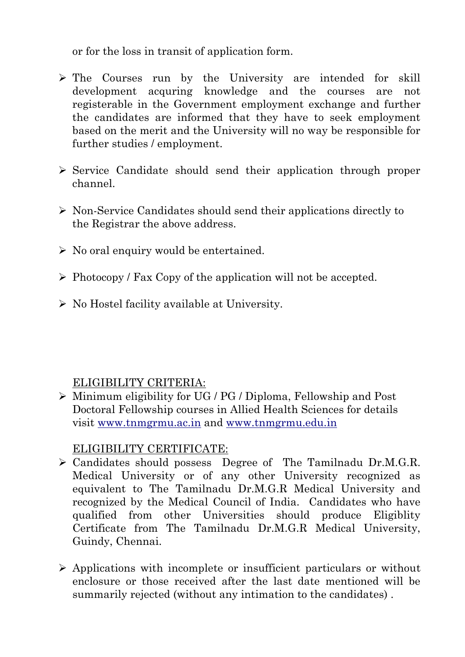or for the loss in transit of application form.

- ➢ The Courses run by the University are intended for skill development acquring knowledge and the courses are not registerable in the Government employment exchange and further the candidates are informed that they have to seek employment based on the merit and the University will no way be responsible for further studies / employment.
- ➢ Service Candidate should send their application through proper channel.
- ➢ Non-Service Candidates should send their applications directly to the Registrar the above address.
- $\triangleright$  No oral enquiry would be entertained.
- ➢ Photocopy / Fax Copy of the application will not be accepted.
- ➢ No Hostel facility available at University.

### ELIGIBILITY CRITERIA:

➢ Minimum eligibility for UG / PG / Diploma, Fellowship and Post Doctoral Fellowship courses in Allied Health Sciences for details visit www.tnmgrmu.ac.in and www.tnmgrmu.edu.in

### ELIGIBILITY CERTIFICATE:

- ➢ Candidates should possess Degree of The Tamilnadu Dr.M.G.R. Medical University or of any other University recognized as equivalent to The Tamilnadu Dr.M.G.R Medical University and recognized by the Medical Council of India. Candidates who have qualified from other Universities should produce Eligiblity Certificate from The Tamilnadu Dr.M.G.R Medical University, Guindy, Chennai.
- ➢ Applications with incomplete or insufficient particulars or without enclosure or those received after the last date mentioned will be summarily rejected (without any intimation to the candidates) .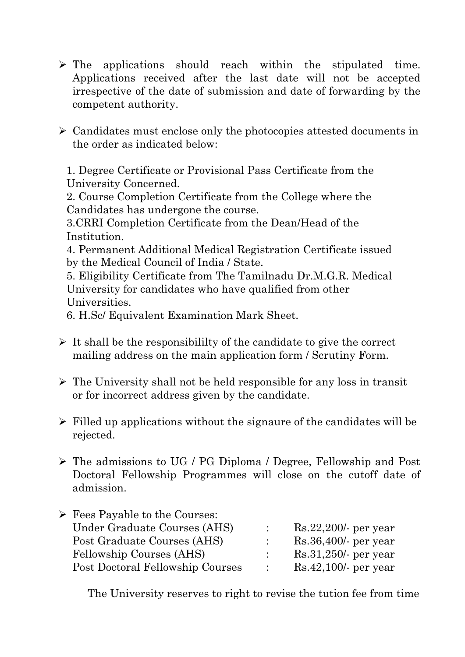- ➢ The applications should reach within the stipulated time. Applications received after the last date will not be accepted irrespective of the date of submission and date of forwarding by the competent authority.
- ➢ Candidates must enclose only the photocopies attested documents in the order as indicated below:

1. Degree Certificate or Provisional Pass Certificate from the University Concerned.

2. Course Completion Certificate from the College where the Candidates has undergone the course.

3.CRRI Completion Certificate from the Dean/Head of the Institution.

4. Permanent Additional Medical Registration Certificate issued by the Medical Council of India / State.

5. Eligibility Certificate from The Tamilnadu Dr.M.G.R. Medical University for candidates who have qualified from other Universities.

6. H.Sc/ Equivalent Examination Mark Sheet.

- $\triangleright$  It shall be the responsibililty of the candidate to give the correct mailing address on the main application form / Scrutiny Form.
- $\triangleright$  The University shall not be held responsible for any loss in transit or for incorrect address given by the candidate.
- $\triangleright$  Filled up applications without the signaure of the candidates will be rejected.
- ➢ The admissions to UG / PG Diploma / Degree, Fellowship and Post Doctoral Fellowship Programmes will close on the cutoff date of admission.

| $\triangleright$ Fees Payable to the Courses: |        |                         |
|-----------------------------------------------|--------|-------------------------|
| Under Graduate Courses (AHS)                  |        | $Rs.22,200$ per year    |
| Post Graduate Courses (AHS)                   |        | $Rs.36,400/$ - per year |
| Fellowship Courses (AHS)                      |        | $Rs.31,250/$ - per year |
| Post Doctoral Fellowship Courses              | $\sim$ | $Rs.42,100/$ - per year |

The University reserves to right to revise the tution fee from time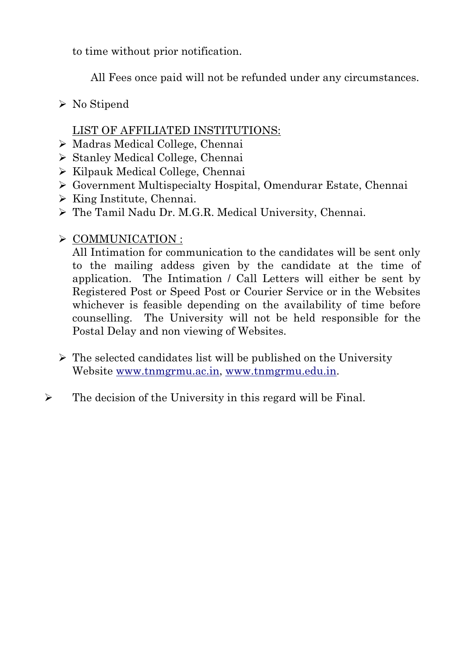to time without prior notification.

All Fees once paid will not be refunded under any circumstances.

➢ No Stipend

### LIST OF AFFILIATED INSTITUTIONS:

- ➢ Madras Medical College, Chennai
- ➢ Stanley Medical College, Chennai
- ➢ Kilpauk Medical College, Chennai
- ➢ Government Multispecialty Hospital, Omendurar Estate, Chennai
- ➢ King Institute, Chennai.
- ➢ The Tamil Nadu Dr. M.G.R. Medical University, Chennai.
- ➢ COMMUNICATION :

All Intimation for communication to the candidates will be sent only to the mailing addess given by the candidate at the time of application. The Intimation / Call Letters will either be sent by Registered Post or Speed Post or Courier Service or in the Websites whichever is feasible depending on the availability of time before counselling. The University will not be held responsible for the Postal Delay and non viewing of Websites.

- $\triangleright$  The selected candidates list will be published on the University Website www.tnmgrmu.ac.in, www.tnmgrmu.edu.in.
- $\triangleright$  The decision of the University in this regard will be Final.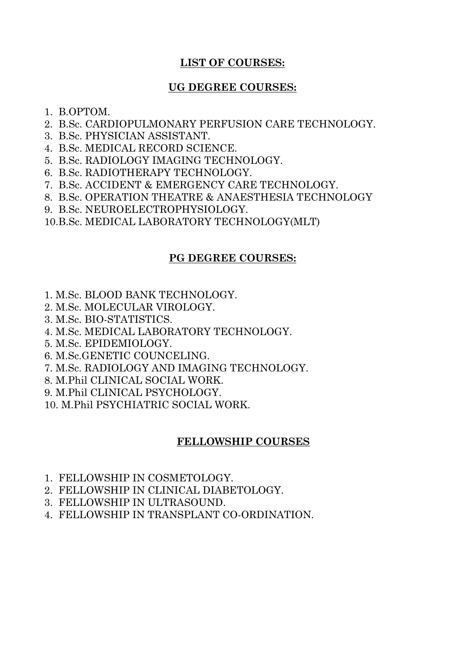### **LIST OF COURSES:**

### **UG DEGREE COURSES:**

- 1. B.OPTOM.
- 2. B.Sc. CARDIOPULMONARY PERFUSION CARE TECHNOLOGY.
- 3. B.Sc. PHYSICIAN ASSISTANT.
- 4. B.Sc. MEDICAL RECORD SCIENCE.
- 5. B.Sc. RADIOLOGY IMAGING TECHNOLOGY.
- 6. B.Sc. RADIOTHERAPY TECHNOLOGY.
- 7. B.Sc. ACCIDENT & EMERGENCY CARE TECHNOLOGY.
- 8. B.Sc. OPERATION THEATRE & ANAESTHESIA TECHNOLOGY
- 9. B.Sc. NEUROELECTROPHYSIOLOGY.
- 10.B.Sc. MEDICAL LABORATORY TECHNOLOGY(MLT)

### **PG DEGREE COURSES:**

- 1. M.Sc. BLOOD BANK TECHNOLOGY.
- 2. M.Sc. MOLECULAR VIROLOGY.
- 3. M.Sc. BIO-STATISTICS.
- 4. M.Sc. MEDICAL LABORATORY TECHNOLOGY.
- 5. M.Sc. EPIDEMIOLOGY.
- 6. M.Sc.GENETIC COUNCELING.
- 7. M.Sc. RADIOLOGY AND IMAGING TECHNOLOGY.
- 8. M.Phil CLINICAL SOCIAL WORK.
- 9. M.Phil CLINICAL PSYCHOLOGY.
- 10. M.Phil PSYCHIATRIC SOCIAL WORK.

### **FELLOWSHIP COURSES**

- 1. FELLOWSHIP IN COSMETOLOGY.
- 2. FELLOWSHIP IN CLINICAL DIABETOLOGY.
- 3. FELLOWSHIP IN ULTRASOUND.
- 4. FELLOWSHIP IN TRANSPLANT CO-ORDINATION.